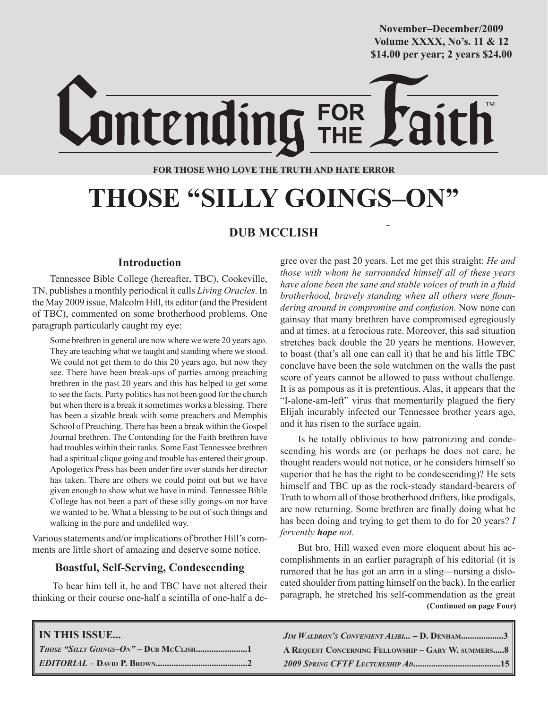**October/2007 Volume XXXX, No's. 11 & 12 Volume XXXVIII, No. 10 \$14.00 per year; 2 years \$24.00 \$14.00 per year; 2 years \$24.00 November–December/2009**

ontending **FOR THOSE WHO LOVE THE TRUTH AND HATE ERROR**

FOR<br>THE

# **THOSE "SILLY GOINGS–ON"**

# **DUB MCCLISH**

# **Introduction**

Tennessee Bible College (hereafter, TBC), Cookeville, TN, publishes a monthly periodical it calls *Living Oracles*. In the May 2009 issue, Malcolm Hill, its editor (and the President of TBC), commented on some brotherhood problems. One paragraph particularly caught my eye:

Some brethren in general are now where we were 20 years ago. They are teaching what we taught and standing where we stood. We could not get them to do this 20 years ago, but now they see. There have been break-ups of parties among preaching brethren in the past 20 years and this has helped to get some to see the facts. Party politics has not been good for the church but when there is a break it sometimes works a blessing. There has been a sizable break with some preachers and Memphis School of Preaching. There has been a break within the Gospel Journal brethren. The Contending for the Faith brethren have had troubles within their ranks. Some East Tennessee brethren had a spiritual clique going and trouble has entered their group. Apologetics Press has been under fire over stands her director has taken. There are others we could point out but we have given enough to show what we have in mind. Tennessee Bible College has not been a part of these silly goings-on nor have we wanted to be. What a blessing to be out of such things and walking in the pure and undefiled way.

Various statements and/or implications of brother Hill's comments are little short of amazing and deserve some notice.

# **Boastful, Self-Serving, Condescending**

To hear him tell it, he and TBC have not altered their thinking or their course one-half a scintilla of one-half a degree over the past 20 years. Let me get this straight: *He and those with whom he surrounded himself all of these years have alone been the sane and stable voices of truth in a fluid brotherhood, bravely standing when all others were floundering around in compromise and confusion.* Now none can gainsay that many brethren have compromised egregiously and at times, at a ferocious rate. Moreover, this sad situation stretches back double the 20 years he mentions. However, to boast (that's all one can call it) that he and his little TBC conclave have been the sole watchmen on the walls the past score of years cannot be allowed to pass without challenge. It is as pompous as it is pretentious. Alas, it appears that the "I-alone-am-left" virus that momentarily plagued the fiery Elijah incurably infected our Tennessee brother years ago, and it has risen to the surface again.

Is he totally oblivious to how patronizing and condescending his words are (or perhaps he does not care, he thought readers would not notice, or he considers himself so superior that he has the right to be condescending)? He sets himself and TBC up as the rock-steady standard-bearers of Truth to whom all of those brotherhood drifters, like prodigals, are now returning. Some brethren are finally doing what he has been doing and trying to get them to do for 20 years? *I fervently hope not.*

 **(Continued on page Four)** But bro. Hill waxed even more eloquent about his accomplishments in an earlier paragraph of his editorial (it is rumored that he has got an arm in a sling—nursing a dislocated shoulder from patting himself on the back). In the earlier paragraph, he stretched his self-commendation as the great

| <b>IN THIS ISSUE</b> | $J_{IM}$ Waldron's Convenient Alibi - D. Denham3   |
|----------------------|----------------------------------------------------|
|                      | A REQUEST CONCERNING FELLOWSHIP - GARY W. SUMMERS8 |
|                      |                                                    |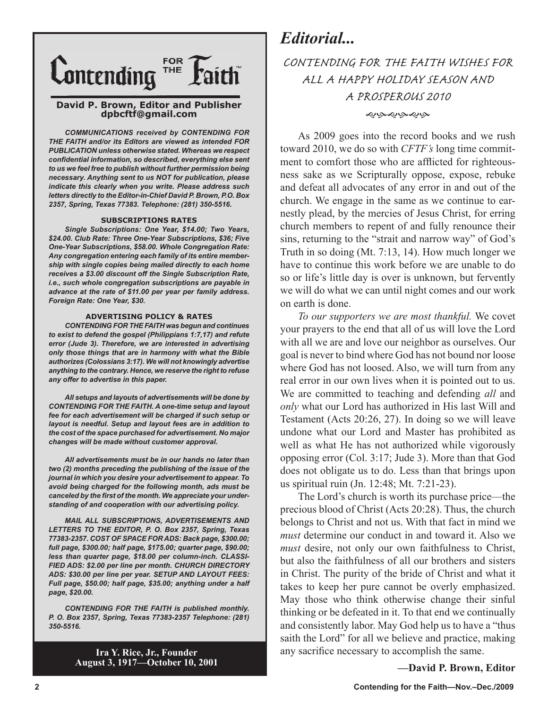

#### **David P. Brown, Editor and Publisher dpbcftf@gmail.com**

*COMMUNICATIONS received by CONTENDING FOR THE FAITH and/or its Editors are viewed as intended FOR PUBLICATION unless otherwise stated. Whereas we respect confidential information, so described, everything else sent to us we feel free to publish without further permission being necessary. Anything sent to us NOT for publication, please indicate this clearly when you write. Please address such letters directly to the Editor-in-Chief David P. Brown, P.O. Box 2357, Spring, Texas 77383. Telephone: (281) 350-5516.*

#### **SUBSCRIPTIONS RATES**

*Single Subscriptions: One Year, \$14.00; Two Years, \$24.00. Club Rate: Three One-Year Subscriptions, \$36; Five One-Year Subscriptions, \$58.00. Whole Congregation Rate: Any congregation entering each family of its entire membership with single copies being mailed directly to each home receives a \$3.00 discount off the Single Subscription Rate, i.e., such whole congregation subscriptions are payable in advance at the rate of \$11.00 per year per family address. Foreign Rate: One Year, \$30.*

#### **ADVERTISING POLICY & RATES**

*CONTENDING FOR THE FAITH was begun and continues to exist to defend the gospel (Philippians 1:7,17) and refute error (Jude 3). Therefore, we are interested in advertising only those things that are in harmony with what the Bible authorizes (Colossians 3:17). We will not knowingly advertise anything to the contrary. Hence, we reserve the right to refuse any offer to advertise in this paper.*

*All setups and layouts of advertisements will be done by CONTENDING FOR THE FAITH. A one-time setup and layout fee for each advertisement will be charged if such setup or layout is needful. Setup and layout fees are in addition to the cost of the space purchased for advertisement. No major changes will be made without customer approval.*

*All advertisements must be in our hands no later than two (2) months preceding the publishing of the issue of the journal in which you desire your advertisement to appear. To avoid being charged for the following month, ads must be canceled by the first of the month. We appreciate your understanding of and cooperation with our advertising policy.*

*MAIL ALL SUBSCRIPTIONS, ADVERTISEMENTS AND LETTERS TO THE EDITOR, P. O. Box 2357, Spring, Texas 77383-2357. COST OF SPACE FOR ADS: Back page, \$300.00; full page, \$300.00; half page, \$175.00; quarter page, \$90.00; less than quarter page, \$18.00 per column-inch. CLASSI-FIED ADS: \$2.00 per line per month. CHURCH DIRECTORY ADS: \$30.00 per line per year. SETUP AND LAYOUT FEES: Full page, \$50.00; half page, \$35.00; anything under a half page, \$20.00.*

*CONTENDING FOR THE FAITH is published monthly. P. O. Box 2357, Spring, Texas 77383-2357 Telephone: (281) 350-5516.*

> **Ira Y. Rice, Jr., Founder August 3, 1917—October 10, 2001**

# *Editorial...*

# CONTENDING FOR THE FAITH WISHES FOR ALL A HAPPY HOLIDAY SEASON AND A PROSPEROUS 2010 موبهموبهموبهه

As 2009 goes into the record books and we rush toward 2010, we do so with *CFTF's* long time commitment to comfort those who are afflicted for righteousness sake as we Scripturally oppose, expose, rebuke and defeat all advocates of any error in and out of the church. We engage in the same as we continue to earnestly plead, by the mercies of Jesus Christ, for erring church members to repent of and fully renounce their sins, returning to the "strait and narrow way" of God's Truth in so doing (Mt. 7:13, 14). How much longer we have to continue this work before we are unable to do so or life's little day is over is unknown, but fervently we will do what we can until night comes and our work on earth is done.

*To our supporters we are most thankful.* We covet your prayers to the end that all of us will love the Lord with all we are and love our neighbor as ourselves. Our goal is never to bind where God has not bound nor loose where God has not loosed. Also, we will turn from any real error in our own lives when it is pointed out to us. We are committed to teaching and defending *all* and *only* what our Lord has authorized in His last Will and Testament (Acts 20:26, 27). In doing so we will leave undone what our Lord and Master has prohibited as well as what He has not authorized while vigorously opposing error (Col. 3:17; Jude 3). More than that God does not obligate us to do. Less than that brings upon us spiritual ruin (Jn. 12:48; Mt. 7:21-23).

The Lord's church is worth its purchase price—the precious blood of Christ (Acts 20:28). Thus, the church belongs to Christ and not us. With that fact in mind we *must* determine our conduct in and toward it. Also we *must* desire, not only our own faithfulness to Christ, but also the faithfulness of all our brothers and sisters in Christ. The purity of the bride of Christ and what it takes to keep her pure cannot be overly emphasized. May those who think otherwise change their sinful thinking or be defeated in it. To that end we continually and consistently labor. May God help us to have a "thus saith the Lord" for all we believe and practice, making any sacrifice necessary to accomplish the same.

**—David P. Brown, Editor**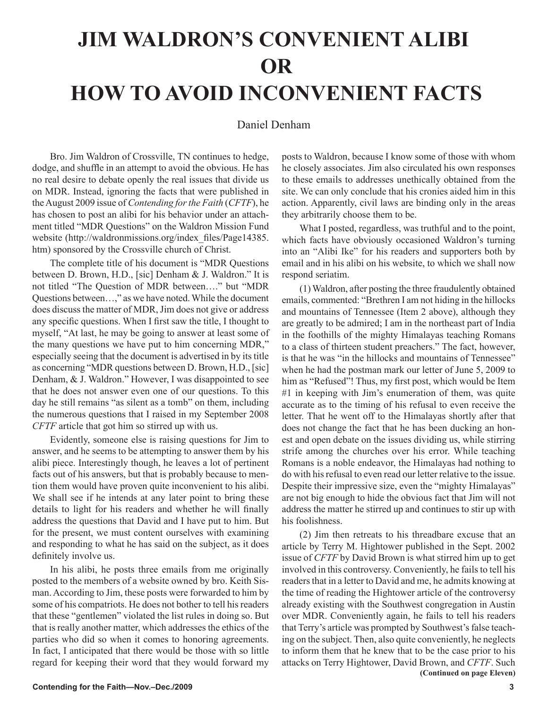# **JIM WALDRON'S CONVENIENT ALIBI OR HOW TO AVOID INCONVENIENT FACTS**

# Daniel Denham

Bro. Jim Waldron of Crossville, TN continues to hedge, dodge, and shuffle in an attempt to avoid the obvious. He has no real desire to debate openly the real issues that divide us on MDR. Instead, ignoring the facts that were published in the August 2009 issue of *Contending for the Faith* (*CFTF*), he has chosen to post an alibi for his behavior under an attachment titled "MDR Questions" on the Waldron Mission Fund website (http://waldronmissions.org/index\_files/Page14385. htm) sponsored by the Crossville church of Christ.

The complete title of his document is "MDR Questions between D. Brown, H.D., [sic] Denham & J. Waldron." It is not titled "The Question of MDR between…." but "MDR Questions between…," as we have noted. While the document does discuss the matter of MDR, Jim does not give or address any specific questions. When I first saw the title, I thought to myself, "At last, he may be going to answer at least some of the many questions we have put to him concerning MDR," especially seeing that the document is advertised in by its title as concerning "MDR questions between D. Brown, H.D., [sic] Denham, & J. Waldron." However, I was disappointed to see that he does not answer even one of our questions. To this day he still remains "as silent as a tomb" on them, including the numerous questions that I raised in my September 2008 *CFTF* article that got him so stirred up with us.

Evidently, someone else is raising questions for Jim to answer, and he seems to be attempting to answer them by his alibi piece. Interestingly though, he leaves a lot of pertinent facts out of his answers, but that is probably because to mention them would have proven quite inconvenient to his alibi. We shall see if he intends at any later point to bring these details to light for his readers and whether he will finally address the questions that David and I have put to him. But for the present, we must content ourselves with examining and responding to what he has said on the subject, as it does definitely involve us.

In his alibi, he posts three emails from me originally posted to the members of a website owned by bro. Keith Sisman. According to Jim, these posts were forwarded to him by some of his compatriots. He does not bother to tell his readers that these "gentlemen" violated the list rules in doing so. But that is really another matter, which addresses the ethics of the parties who did so when it comes to honoring agreements. In fact, I anticipated that there would be those with so little regard for keeping their word that they would forward my

posts to Waldron, because I know some of those with whom he closely associates. Jim also circulated his own responses to these emails to addresses unethically obtained from the site. We can only conclude that his cronies aided him in this action. Apparently, civil laws are binding only in the areas they arbitrarily choose them to be.

What I posted, regardless, was truthful and to the point, which facts have obviously occasioned Waldron's turning into an "Alibi Ike" for his readers and supporters both by email and in his alibi on his website, to which we shall now respond seriatim.

(1) Waldron, after posting the three fraudulently obtained emails, commented: "Brethren I am not hiding in the hillocks and mountains of Tennessee (Item 2 above), although they are greatly to be admired; I am in the northeast part of India in the foothills of the mighty Himalayas teaching Romans to a class of thirteen student preachers." The fact, however, is that he was "in the hillocks and mountains of Tennessee" when he had the postman mark our letter of June 5, 2009 to him as "Refused"! Thus, my first post, which would be Item #1 in keeping with Jim's enumeration of them, was quite accurate as to the timing of his refusal to even receive the letter. That he went off to the Himalayas shortly after that does not change the fact that he has been ducking an honest and open debate on the issues dividing us, while stirring strife among the churches over his error. While teaching Romans is a noble endeavor, the Himalayas had nothing to do with his refusal to even read our letter relative to the issue. Despite their impressive size, even the "mighty Himalayas" are not big enough to hide the obvious fact that Jim will not address the matter he stirred up and continues to stir up with his foolishness.

(2) Jim then retreats to his threadbare excuse that an article by Terry M. Hightower published in the Sept. 2002 issue of *CFTF* by David Brown is what stirred him up to get involved in this controversy. Conveniently, he fails to tell his readers that in a letter to David and me, he admits knowing at the time of reading the Hightower article of the controversy already existing with the Southwest congregation in Austin over MDR. Conveniently again, he fails to tell his readers that Terry's article was prompted by Southwest's false teaching on the subject. Then, also quite conveniently, he neglects to inform them that he knew that to be the case prior to his attacks on Terry Hightower, David Brown, and *CFTF*. Such  **(Continued on page Eleven)**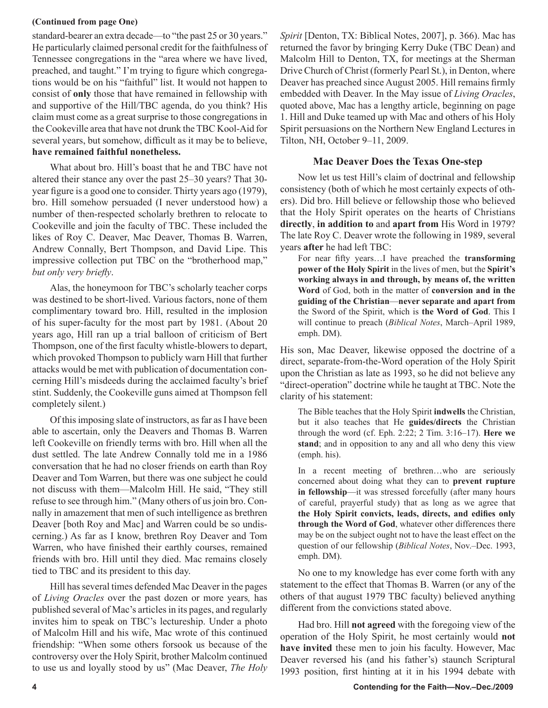## **(Continued from page One)**

standard-bearer an extra decade—to "the past 25 or 30 years." He particularly claimed personal credit for the faithfulness of Tennessee congregations in the "area where we have lived, preached, and taught." I'm trying to figure which congregations would be on his "faithful" list. It would not happen to consist of **only** those that have remained in fellowship with and supportive of the Hill/TBC agenda, do you think? His claim must come as a great surprise to those congregations in the Cookeville area that have not drunk the TBC Kool-Aid for several years, but somehow, difficult as it may be to believe, **have remained faithful nonetheless.** 

What about bro. Hill's boast that he and TBC have not altered their stance any over the past 25–30 years? That 30 year figure is a good one to consider. Thirty years ago (1979), bro. Hill somehow persuaded (I never understood how) a number of then-respected scholarly brethren to relocate to Cookeville and join the faculty of TBC. These included the likes of Roy C. Deaver, Mac Deaver, Thomas B. Warren, Andrew Connally, Bert Thompson, and David Lipe. This impressive collection put TBC on the "brotherhood map," *but only very briefly*.

Alas, the honeymoon for TBC's scholarly teacher corps was destined to be short-lived. Various factors, none of them complimentary toward bro. Hill, resulted in the implosion of his super-faculty for the most part by 1981. (About 20 years ago, Hill ran up a trial balloon of criticism of Bert Thompson, one of the first faculty whistle-blowers to depart, which provoked Thompson to publicly warn Hill that further attacks would be met with publication of documentation concerning Hill's misdeeds during the acclaimed faculty's brief stint. Suddenly, the Cookeville guns aimed at Thompson fell completely silent.)

Of this imposing slate of instructors, as far as I have been able to ascertain, only the Deavers and Thomas B. Warren left Cookeville on friendly terms with bro. Hill when all the dust settled. The late Andrew Connally told me in a 1986 conversation that he had no closer friends on earth than Roy Deaver and Tom Warren, but there was one subject he could not discuss with them—Malcolm Hill. He said, "They still refuse to see through him." (Many others of us join bro. Connally in amazement that men of such intelligence as brethren Deaver [both Roy and Mac] and Warren could be so undiscerning.) As far as I know, brethren Roy Deaver and Tom Warren, who have finished their earthly courses, remained friends with bro. Hill until they died. Mac remains closely tied to TBC and its president to this day.

Hill has several times defended Mac Deaver in the pages of *Living Oracles* over the past dozen or more years*,* has published several of Mac's articles in its pages, and regularly invites him to speak on TBC's lectureship. Under a photo of Malcolm Hill and his wife, Mac wrote of this continued friendship: "When some others forsook us because of the controversy over the Holy Spirit, brother Malcolm continued to use us and loyally stood by us" (Mac Deaver, *The Holy* 

*Spirit* [Denton, TX: Biblical Notes, 2007], p. 366). Mac has returned the favor by bringing Kerry Duke (TBC Dean) and Malcolm Hill to Denton, TX, for meetings at the Sherman Drive Church of Christ (formerly Pearl St.), in Denton, where Deaver has preached since August 2005. Hill remains firmly embedded with Deaver. In the May issue of *Living Oracles*, quoted above, Mac has a lengthy article, beginning on page 1. Hill and Duke teamed up with Mac and others of his Holy Spirit persuasions on the Northern New England Lectures in Tilton, NH, October 9–11, 2009.

# **Mac Deaver Does the Texas One-step**

Now let us test Hill's claim of doctrinal and fellowship consistency (both of which he most certainly expects of others). Did bro. Hill believe or fellowship those who believed that the Holy Spirit operates on the hearts of Christians **directly**, **in addition to** and **apart from** His Word in 1979? The late Roy C. Deaver wrote the following in 1989, several years **after** he had left TBC:

For near fifty years…I have preached the **transforming power of the Holy Spirit** in the lives of men, but the **Spirit's working always in and through, by means of, the written Word** of God, both in the matter of **conversion and in the guiding of the Christian**—**never separate and apart from** the Sword of the Spirit, which is **the Word of God**. This I will continue to preach (*Biblical Notes*, March–April 1989, emph. DM).

His son, Mac Deaver, likewise opposed the doctrine of a direct, separate-from-the-Word operation of the Holy Spirit upon the Christian as late as 1993, so he did not believe any "direct-operation" doctrine while he taught at TBC. Note the clarity of his statement:

The Bible teaches that the Holy Spirit **indwells** the Christian, but it also teaches that He **guides/directs** the Christian through the word (cf. Eph. 2:22; 2 Tim. 3:16–17). **Here we stand**; and in opposition to any and all who deny this view (emph. his).

In a recent meeting of brethren…who are seriously concerned about doing what they can to **prevent rupture in fellowship**—it was stressed forcefully (after many hours of careful, prayerful study) that as long as we agree that **the Holy Spirit convicts, leads, directs, and edifies only through the Word of God**, whatever other differences there may be on the subject ought not to have the least effect on the question of our fellowship (*Biblical Notes*, Nov.–Dec. 1993, emph. DM).

No one to my knowledge has ever come forth with any statement to the effect that Thomas B. Warren (or any of the others of that august 1979 TBC faculty) believed anything different from the convictions stated above.

Had bro. Hill **not agreed** with the foregoing view of the operation of the Holy Spirit, he most certainly would **not have invited** these men to join his faculty. However, Mac Deaver reversed his (and his father's) staunch Scriptural 1993 position, first hinting at it in his 1994 debate with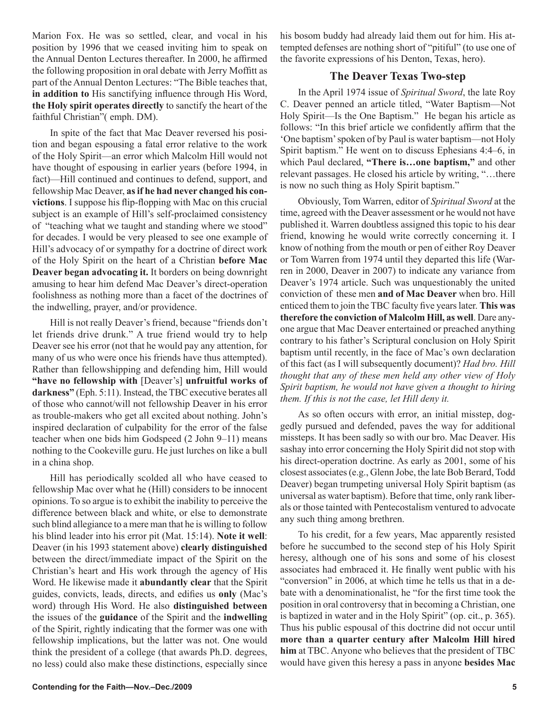Marion Fox. He was so settled, clear, and vocal in his position by 1996 that we ceased inviting him to speak on the Annual Denton Lectures thereafter. In 2000, he affirmed the following proposition in oral debate with Jerry Moffitt as part of the Annual Denton Lectures: "The Bible teaches that, **in addition to** His sanctifying influence through His Word, **the Holy spirit operates directly** to sanctify the heart of the faithful Christian"( emph. DM).

In spite of the fact that Mac Deaver reversed his position and began espousing a fatal error relative to the work of the Holy Spirit—an error which Malcolm Hill would not have thought of espousing in earlier years (before 1994, in fact)—Hill continued and continues to defend, support, and fellowship Mac Deaver, **as if he had never changed his convictions**. I suppose his flip-flopping with Mac on this crucial subject is an example of Hill's self-proclaimed consistency of "teaching what we taught and standing where we stood" for decades. I would be very pleased to see one example of Hill's advocacy of or sympathy for a doctrine of direct work of the Holy Spirit on the heart of a Christian **before Mac Deaver began advocating it.** It borders on being downright amusing to hear him defend Mac Deaver's direct-operation foolishness as nothing more than a facet of the doctrines of the indwelling, prayer, and/or providence.

Hill is not really Deaver's friend, because "friends don't let friends drive drunk." A true friend would try to help Deaver see his error (not that he would pay any attention, for many of us who were once his friends have thus attempted). Rather than fellowshipping and defending him, Hill would **"have no fellowship with** [Deaver's] **unfruitful works of darkness"** (Eph. 5:11). Instead, the TBC executive berates all of those who cannot/will not fellowship Deaver in his error as trouble-makers who get all excited about nothing. John's inspired declaration of culpability for the error of the false teacher when one bids him Godspeed (2 John 9–11) means nothing to the Cookeville guru. He just lurches on like a bull in a china shop.

Hill has periodically scolded all who have ceased to fellowship Mac over what he (Hill) considers to be innocent opinions. To so argue is to exhibit the inability to perceive the difference between black and white, or else to demonstrate such blind allegiance to a mere man that he is willing to follow his blind leader into his error pit (Mat. 15:14). **Note it well**: Deaver (in his 1993 statement above) **clearly distinguished** between the direct/immediate impact of the Spirit on the Christian's heart and His work through the agency of His Word. He likewise made it **abundantly clear** that the Spirit guides, convicts, leads, directs, and edifies us **only** (Mac's word) through His Word. He also **distinguished between** the issues of the **guidance** of the Spirit and the **indwelling** of the Spirit, rightly indicating that the former was one with fellowship implications, but the latter was not. One would think the president of a college (that awards Ph.D. degrees, no less) could also make these distinctions, especially since

his bosom buddy had already laid them out for him. His attempted defenses are nothing short of "pitiful" (to use one of the favorite expressions of his Denton, Texas, hero).

# **The Deaver Texas Two-step**

In the April 1974 issue of *Spiritual Sword*, the late Roy C. Deaver penned an article titled, "Water Baptism—Not Holy Spirit—Is the One Baptism." He began his article as follows: "In this brief article we confidently affirm that the 'One baptism' spoken of by Paul is water baptism—not Holy Spirit baptism." He went on to discuss Ephesians 4:4–6, in which Paul declared, **"There is…one baptism,"** and other relevant passages. He closed his article by writing, "…there is now no such thing as Holy Spirit baptism."

Obviously, Tom Warren, editor of *Spiritual Sword* at the time, agreed with the Deaver assessment or he would not have published it. Warren doubtless assigned this topic to his dear friend, knowing he would write correctly concerning it. I know of nothing from the mouth or pen of either Roy Deaver or Tom Warren from 1974 until they departed this life (Warren in 2000, Deaver in 2007) to indicate any variance from Deaver's 1974 article. Such was unquestionably the united conviction of these men **and of Mac Deaver** when bro. Hill enticed them to join the TBC faculty five years later. **This was therefore the conviction of Malcolm Hill, as well**. Dare anyone argue that Mac Deaver entertained or preached anything contrary to his father's Scriptural conclusion on Holy Spirit baptism until recently, in the face of Mac's own declaration of this fact (as I will subsequently document)? *Had bro. Hill thought that any of these men held any other view of Holy Spirit baptism, he would not have given a thought to hiring them. If this is not the case, let Hill deny it.*

As so often occurs with error, an initial misstep, doggedly pursued and defended, paves the way for additional missteps. It has been sadly so with our bro. Mac Deaver. His sashay into error concerning the Holy Spirit did not stop with his direct-operation doctrine. As early as 2001, some of his closest associates (e.g., Glenn Jobe, the late Bob Berard, Todd Deaver) began trumpeting universal Holy Spirit baptism (as universal as water baptism). Before that time, only rank liberals or those tainted with Pentecostalism ventured to advocate any such thing among brethren.

To his credit, for a few years, Mac apparently resisted before he succumbed to the second step of his Holy Spirit heresy, although one of his sons and some of his closest associates had embraced it. He finally went public with his "conversion" in 2006, at which time he tells us that in a debate with a denominationalist, he "for the first time took the position in oral controversy that in becoming a Christian, one is baptized in water and in the Holy Spirit" (op. cit., p. 365). Thus his public espousal of this doctrine did not occur until **more than a quarter century after Malcolm Hill hired him** at TBC. Anyone who believes that the president of TBC would have given this heresy a pass in anyone **besides Mac**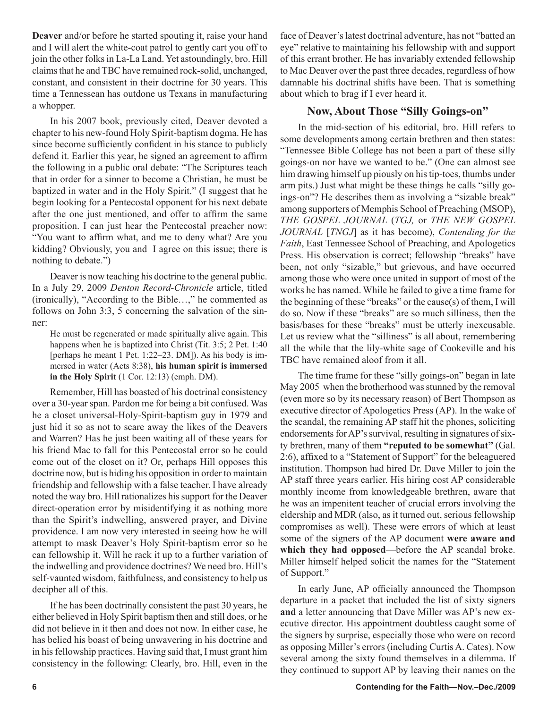**Deaver** and/or before he started spouting it, raise your hand and I will alert the white-coat patrol to gently cart you off to join the other folks in La-La Land. Yet astoundingly, bro. Hill claims that he and TBC have remained rock-solid, unchanged, constant, and consistent in their doctrine for 30 years. This time a Tennessean has outdone us Texans in manufacturing a whopper.

In his 2007 book, previously cited, Deaver devoted a chapter to his new-found Holy Spirit-baptism dogma. He has since become sufficiently confident in his stance to publicly defend it. Earlier this year, he signed an agreement to affirm the following in a public oral debate: "The Scriptures teach that in order for a sinner to become a Christian, he must be baptized in water and in the Holy Spirit." (I suggest that he begin looking for a Pentecostal opponent for his next debate after the one just mentioned, and offer to affirm the same proposition. I can just hear the Pentecostal preacher now: "You want to affirm what, and me to deny what? Are you kidding? Obviously, you and I agree on this issue; there is nothing to debate.")

Deaver is now teaching his doctrine to the general public. In a July 29, 2009 *Denton Record-Chronicle* article, titled (ironically), "According to the Bible…," he commented as follows on John 3:3, 5 concerning the salvation of the sinner:

He must be regenerated or made spiritually alive again. This happens when he is baptized into Christ (Tit. 3:5; 2 Pet. 1:40) [perhaps he meant 1 Pet. 1:22–23. DM]). As his body is immersed in water (Acts 8:38), **his human spirit is immersed in the Holy Spirit** (1 Cor. 12:13) (emph. DM).

Remember, Hill has boasted of his doctrinal consistency over a 30-year span. Pardon me for being a bit confused. Was he a closet universal-Holy-Spirit-baptism guy in 1979 and just hid it so as not to scare away the likes of the Deavers and Warren? Has he just been waiting all of these years for his friend Mac to fall for this Pentecostal error so he could come out of the closet on it? Or, perhaps Hill opposes this doctrine now, but is hiding his opposition in order to maintain friendship and fellowship with a false teacher. I have already noted the way bro. Hill rationalizes his support for the Deaver direct-operation error by misidentifying it as nothing more than the Spirit's indwelling, answered prayer, and Divine providence. I am now very interested in seeing how he will attempt to mask Deaver's Holy Spirit-baptism error so he can fellowship it. Will he rack it up to a further variation of the indwelling and providence doctrines? We need bro. Hill's self-vaunted wisdom, faithfulness, and consistency to help us decipher all of this.

If he has been doctrinally consistent the past 30 years, he either believed in Holy Spirit baptism then and still does, or he did not believe in it then and does not now. In either case, he has belied his boast of being unwavering in his doctrine and in his fellowship practices. Having said that, I must grant him consistency in the following: Clearly, bro. Hill, even in the

face of Deaver's latest doctrinal adventure, has not "batted an eye" relative to maintaining his fellowship with and support of this errant brother. He has invariably extended fellowship to Mac Deaver over the past three decades, regardless of how damnable his doctrinal shifts have been. That is something about which to brag if I ever heard it.

# **Now, About Those "Silly Goings-on"**

In the mid-section of his editorial, bro. Hill refers to some developments among certain brethren and then states: "Tennessee Bible College has not been a part of these silly goings-on nor have we wanted to be." (One can almost see him drawing himself up piously on his tip-toes, thumbs under arm pits.) Just what might be these things he calls "silly goings-on"? He describes them as involving a "sizable break" among supporters of Memphis School of Preaching (MSOP), *THE GOSPEL JOURNAL* (*TGJ,* or *THE NEW GOSPEL JOURNAL* [*TNGJ*] as it has become), *Contending for the Faith*, East Tennessee School of Preaching, and Apologetics Press. His observation is correct; fellowship "breaks" have been, not only "sizable," but grievous, and have occurred among those who were once united in support of most of the works he has named. While he failed to give a time frame for the beginning of these "breaks" or the cause(s) of them, I will do so. Now if these "breaks" are so much silliness, then the basis/bases for these "breaks" must be utterly inexcusable. Let us review what the "silliness" is all about, remembering all the while that the lily-white sage of Cookeville and his TBC have remained aloof from it all.

The time frame for these "silly goings-on" began in late May 2005 when the brotherhood was stunned by the removal (even more so by its necessary reason) of Bert Thompson as executive director of Apologetics Press (AP). In the wake of the scandal, the remaining AP staff hit the phones, soliciting endorsements for AP's survival, resulting in signatures of sixty brethren, many of them **"reputed to be somewhat"** (Gal. 2:6), affixed to a "Statement of Support" for the beleaguered institution. Thompson had hired Dr. Dave Miller to join the AP staff three years earlier. His hiring cost AP considerable monthly income from knowledgeable brethren, aware that he was an impenitent teacher of crucial errors involving the eldership and MDR (also, as it turned out, serious fellowship compromises as well). These were errors of which at least some of the signers of the AP document **were aware and which they had opposed**—before the AP scandal broke. Miller himself helped solicit the names for the "Statement of Support."

In early June, AP officially announced the Thompson departure in a packet that included the list of sixty signers **and** a letter announcing that Dave Miller was AP's new executive director. His appointment doubtless caught some of the signers by surprise, especially those who were on record as opposing Miller's errors (including Curtis A. Cates). Now several among the sixty found themselves in a dilemma. If they continued to support AP by leaving their names on the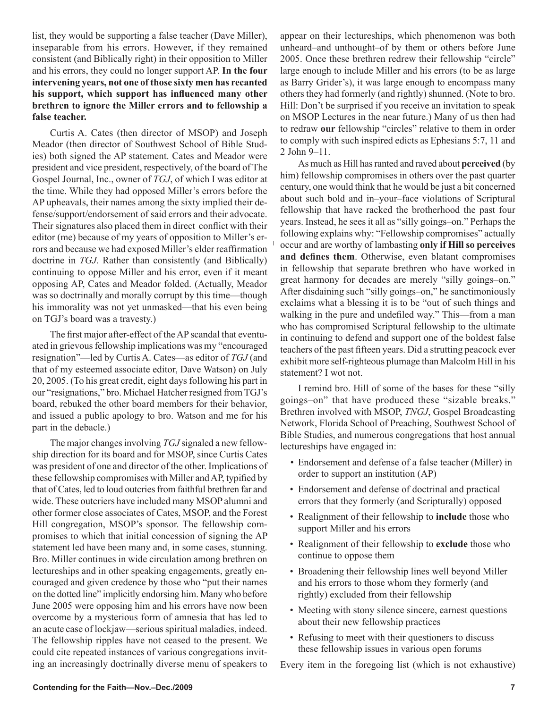list, they would be supporting a false teacher (Dave Miller), inseparable from his errors. However, if they remained consistent (and Biblically right) in their opposition to Miller and his errors, they could no longer support AP. **In the four intervening years, not one of those sixty men has recanted his support, which support has influenced many other brethren to ignore the Miller errors and to fellowship a false teacher.**

Curtis A. Cates (then director of MSOP) and Joseph Meador (then director of Southwest School of Bible Studies) both signed the AP statement. Cates and Meador were president and vice president, respectively, of the board of The Gospel Journal, Inc., owner of *TGJ*, of which I was editor at the time. While they had opposed Miller's errors before the AP upheavals, their names among the sixty implied their defense/support/endorsement of said errors and their advocate. Their signatures also placed them in direct conflict with their editor (me) because of my years of opposition to Miller's errors and because we had exposed Miller's elder reaffirmation doctrine in *TGJ*. Rather than consistently (and Biblically) continuing to oppose Miller and his error, even if it meant opposing AP, Cates and Meador folded. (Actually, Meador was so doctrinally and morally corrupt by this time—though his immorality was not yet unmasked—that his even being on TGJ's board was a travesty.)

The first major after-effect of the AP scandal that eventuated in grievous fellowship implications was my "encouraged resignation"—led by Curtis A. Cates—as editor of *TGJ* (and that of my esteemed associate editor, Dave Watson) on July 20, 2005. (To his great credit, eight days following his part in our "resignations," bro. Michael Hatcher resigned from TGJ's board, rebuked the other board members for their behavior, and issued a public apology to bro. Watson and me for his part in the debacle.)

The major changes involving *TGJ* signaled a new fellowship direction for its board and for MSOP, since Curtis Cates was president of one and director of the other. Implications of these fellowship compromises with Miller and AP, typified by that of Cates, led to loud outcries from faithful brethren far and wide. These outcriers have included many MSOP alumni and other former close associates of Cates, MSOP, and the Forest Hill congregation, MSOP's sponsor. The fellowship compromises to which that initial concession of signing the AP statement led have been many and, in some cases, stunning. Bro. Miller continues in wide circulation among brethren on lectureships and in other speaking engagements, greatly encouraged and given credence by those who "put their names on the dotted line" implicitly endorsing him. Many who before June 2005 were opposing him and his errors have now been overcome by a mysterious form of amnesia that has led to an acute case of lockjaw—serious spiritual maladies, indeed. The fellowship ripples have not ceased to the present. We could cite repeated instances of various congregations inviting an increasingly doctrinally diverse menu of speakers to appear on their lectureships, which phenomenon was both unheard–and unthought–of by them or others before June 2005. Once these brethren redrew their fellowship "circle" large enough to include Miller and his errors (to be as large as Barry Grider's), it was large enough to encompass many others they had formerly (and rightly) shunned. (Note to bro. Hill: Don't be surprised if you receive an invitation to speak on MSOP Lectures in the near future.) Many of us then had to redraw **our** fellowship "circles" relative to them in order to comply with such inspired edicts as Ephesians 5:7, 11 and 2 John 9–11.

As much as Hill has ranted and raved about **perceived** (by him) fellowship compromises in others over the past quarter century, one would think that he would be just a bit concerned about such bold and in–your–face violations of Scriptural fellowship that have racked the brotherhood the past four years. Instead, he sees it all as "silly goings–on." Perhaps the following explains why: "Fellowship compromises" actually occur and are worthy of lambasting **only if Hill so perceives and defines them**. Otherwise, even blatant compromises in fellowship that separate brethren who have worked in great harmony for decades are merely "silly goings–on." After disdaining such "silly goings–on," he sanctimoniously exclaims what a blessing it is to be "out of such things and walking in the pure and undefiled way." This—from a man who has compromised Scriptural fellowship to the ultimate in continuing to defend and support one of the boldest false teachers of the past fifteen years. Did a strutting peacock ever exhibit more self-righteous plumage than Malcolm Hill in his statement? I wot not.

I remind bro. Hill of some of the bases for these "silly goings–on" that have produced these "sizable breaks." Brethren involved with MSOP, *TNGJ*, Gospel Broadcasting Network, Florida School of Preaching, Southwest School of Bible Studies, and numerous congregations that host annual lectureships have engaged in:

- Endorsement and defense of a false teacher (Miller) in order to support an institution (AP)
- Endorsement and defense of doctrinal and practical errors that they formerly (and Scripturally) opposed
- Realignment of their fellowship to **include** those who support Miller and his errors
- Realignment of their fellowship to **exclude** those who continue to oppose them
- Broadening their fellowship lines well beyond Miller and his errors to those whom they formerly (and rightly) excluded from their fellowship
- Meeting with stony silence sincere, earnest questions about their new fellowship practices
- Refusing to meet with their questioners to discuss these fellowship issues in various open forums

Every item in the foregoing list (which is not exhaustive)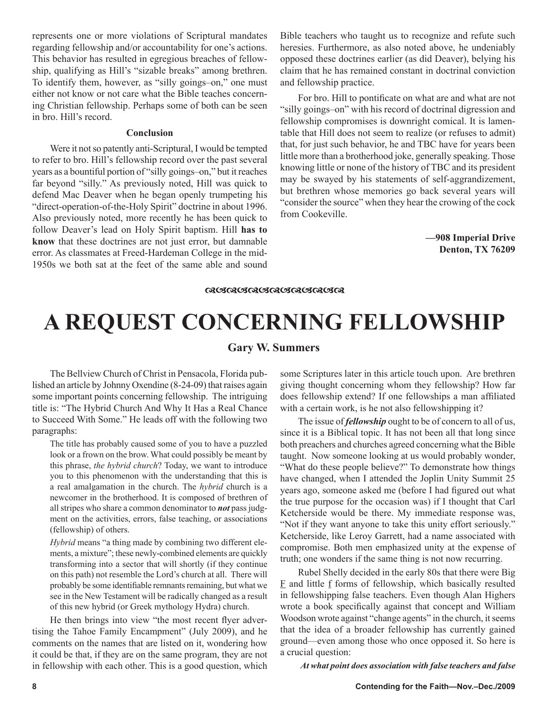represents one or more violations of Scriptural mandates regarding fellowship and/or accountability for one's actions. This behavior has resulted in egregious breaches of fellowship, qualifying as Hill's "sizable breaks" among brethren. To identify them, however, as "silly goings–on," one must either not know or not care what the Bible teaches concerning Christian fellowship. Perhaps some of both can be seen in bro. Hill's record.

## **Conclusion**

Were it not so patently anti-Scriptural, I would be tempted to refer to bro. Hill's fellowship record over the past several years as a bountiful portion of "silly goings–on," but it reaches far beyond "silly." As previously noted, Hill was quick to defend Mac Deaver when he began openly trumpeting his "direct-operation-of-the-Holy Spirit" doctrine in about 1996. Also previously noted, more recently he has been quick to follow Deaver's lead on Holy Spirit baptism. Hill **has to know** that these doctrines are not just error, but damnable error. As classmates at Freed-Hardeman College in the mid-1950s we both sat at the feet of the same able and sound Bible teachers who taught us to recognize and refute such heresies. Furthermore, as also noted above, he undeniably opposed these doctrines earlier (as did Deaver), belying his claim that he has remained constant in doctrinal conviction and fellowship practice.

For bro. Hill to pontificate on what are and what are not "silly goings–on" with his record of doctrinal digression and fellowship compromises is downright comical. It is lamentable that Hill does not seem to realize (or refuses to admit) that, for just such behavior, he and TBC have for years been little more than a brotherhood joke, generally speaking. Those knowing little or none of the history of TBC and its president may be swayed by his statements of self-aggrandizement, but brethren whose memories go back several years will "consider the source" when they hear the crowing of the cock from Cookeville.

> **—908 Imperial Drive Denton, TX 76209**

#### **ଜ୍ୟେଙ୍କଔଟ୍ୟାଟ୍ୟ ଓ ଉପରେ ସେ ବିଷୟ**

# **A REQUEST CONCERNING FELLOWSHIP**

## **Gary W. Summers**

The Bellview Church of Christ in Pensacola, Florida published an article by Johnny Oxendine (8-24-09) that raises again some important points concerning fellowship. The intriguing title is: "The Hybrid Church And Why It Has a Real Chance to Succeed With Some." He leads off with the following two paragraphs:

The title has probably caused some of you to have a puzzled look or a frown on the brow. What could possibly be meant by this phrase, *the hybrid church*? Today, we want to introduce you to this phenomenon with the understanding that this is a real amalgamation in the church. The *hybrid* church is a newcomer in the brotherhood. It is composed of brethren of all stripes who share a common denominator to *not* pass judgment on the activities, errors, false teaching, or associations (fellowship) of others.

*Hybrid* means "a thing made by combining two different elements, a mixture"; these newly-combined elements are quickly transforming into a sector that will shortly (if they continue on this path) not resemble the Lord's church at all. There will probably be some identifiable remnants remaining, but what we see in the New Testament will be radically changed as a result of this new hybrid (or Greek mythology Hydra) church.

He then brings into view "the most recent flyer advertising the Tahoe Family Encampment" (July 2009), and he comments on the names that are listed on it, wondering how it could be that, if they are on the same program, they are not in fellowship with each other. This is a good question, which some Scriptures later in this article touch upon. Are brethren giving thought concerning whom they fellowship? How far does fellowship extend? If one fellowships a man affiliated with a certain work, is he not also fellowshipping it?

The issue of *fellowship* ought to be of concern to all of us, since it is a Biblical topic. It has not been all that long since both preachers and churches agreed concerning what the Bible taught. Now someone looking at us would probably wonder, "What do these people believe?" To demonstrate how things have changed, when I attended the Joplin Unity Summit 25 years ago, someone asked me (before I had figured out what the true purpose for the occasion was) if I thought that Carl Ketcherside would be there. My immediate response was, "Not if they want anyone to take this unity effort seriously." Ketcherside, like Leroy Garrett, had a name associated with compromise. Both men emphasized unity at the expense of truth; one wonders if the same thing is not now recurring.

Rubel Shelly decided in the early 80s that there were Big  $E$  and little  $f$  forms of fellowship, which basically resulted in fellowshipping false teachers. Even though Alan Highers wrote a book specifically against that concept and William Woodson wrote against "change agents" in the church, it seems that the idea of a broader fellowship has currently gained ground—even among those who once opposed it. So here is a crucial question:

*At what point does association with false teachers and false*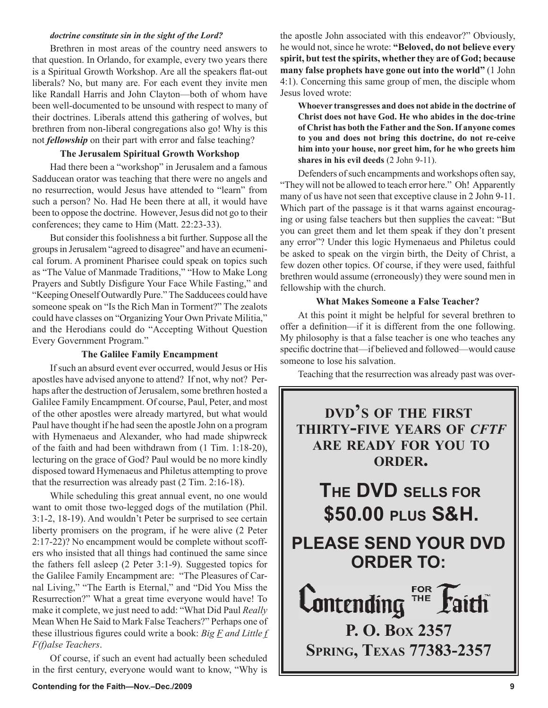#### *doctrine constitute sin in the sight of the Lord?*

Brethren in most areas of the country need answers to that question. In Orlando, for example, every two years there is a Spiritual Growth Workshop. Are all the speakers flat-out liberals? No, but many are. For each event they invite men like Randall Harris and John Clayton—both of whom have been well-documented to be unsound with respect to many of their doctrines. Liberals attend this gathering of wolves, but brethren from non-liberal congregations also go! Why is this not *fellowship* on their part with error and false teaching?

## **The Jerusalem Spiritual Growth Workshop**

Had there been a "workshop" in Jerusalem and a famous Sadducean orator was teaching that there were no angels and no resurrection, would Jesus have attended to "learn" from such a person? No. Had He been there at all, it would have been to oppose the doctrine. However, Jesus did not go to their conferences; they came to Him (Matt. 22:23-33).

But consider this foolishness a bit further. Suppose all the groups in Jerusalem "agreed to disagree" and have an ecumenical forum. A prominent Pharisee could speak on topics such as "The Value of Manmade Traditions," "How to Make Long Prayers and Subtly Disfigure Your Face While Fasting," and "Keeping Oneself Outwardly Pure." The Sadducees could have someone speak on "Is the Rich Man in Torment?" The zealots could have classes on "Organizing Your Own Private Militia," and the Herodians could do "Accepting Without Question Every Government Program."

#### **The Galilee Family Encampment**

If such an absurd event ever occurred, would Jesus or His apostles have advised anyone to attend? If not, why not? Perhaps after the destruction of Jerusalem, some brethren hosted a Galilee Family Encampment. Of course, Paul, Peter, and most of the other apostles were already martyred, but what would Paul have thought if he had seen the apostle John on a program with Hymenaeus and Alexander, who had made shipwreck of the faith and had been withdrawn from (1 Tim. 1:18-20), lecturing on the grace of God? Paul would be no more kindly disposed toward Hymenaeus and Philetus attempting to prove that the resurrection was already past (2 Tim. 2:16-18).

While scheduling this great annual event, no one would want to omit those two-legged dogs of the mutilation (Phil. 3:1-2, 18-19). And wouldn't Peter be surprised to see certain liberty promisers on the program, if he were alive (2 Peter 2:17-22)? No encampment would be complete without scoffers who insisted that all things had continued the same since the fathers fell asleep (2 Peter 3:1-9). Suggested topics for the Galilee Family Encampment are: "The Pleasures of Carnal Living," "The Earth is Eternal," and "Did You Miss the Resurrection?" What a great time everyone would have! To make it complete, we just need to add: "What Did Paul *Really* Mean When He Said to Mark False Teachers?" Perhaps one of these illustrious figures could write a book: *Big F and Little f F(f)alse Teachers*.

Of course, if such an event had actually been scheduled in the first century, everyone would want to know, "Why is the apostle John associated with this endeavor?" Obviously, he would not, since he wrote: **"Beloved, do not believe every spirit, but test the spirits, whether they are of God; because many false prophets have gone out into the world"** (1 John 4:1). Concerning this same group of men, the disciple whom Jesus loved wrote:

**Whoever transgresses and does not abide in the doctrine of Christ does not have God. He who abides in the doc-trine of Christ has both the Father and the Son. If anyone comes to you and does not bring this doctrine, do not re-ceive him into your house, nor greet him, for he who greets him shares in his evil deeds** (2 John 9-11).

Defenders of such encampments and workshops often say, "They will not be allowed to teach error here." Oh! Apparently many of us have not seen that exceptive clause in 2 John 9-11. Which part of the passage is it that warns against encouraging or using false teachers but then supplies the caveat: "But you can greet them and let them speak if they don't present any error"? Under this logic Hymenaeus and Philetus could be asked to speak on the virgin birth, the Deity of Christ, a few dozen other topics. Of course, if they were used, faithful brethren would assume (erroneously) they were sound men in fellowship with the church.

### **What Makes Someone a False Teacher?**

At this point it might be helpful for several brethren to offer a definition—if it is different from the one following. My philosophy is that a false teacher is one who teaches any specific doctrine that—if believed and followed—would cause someone to lose his salvation.

Teaching that the resurrection was already past was over-

# **DVD'S OF THE FIRST THIRTY-FIVE YEARS OF** *CFTF* **ARE READY FOR YOU TO ORDER.**

**THE DVD SELLS FOR \$50.00 PLUS S&H.**

**PLEASE SEND YOUR DVD ORDER TO:**

**FOR Lontending**  $\overline{m}$ **P. O. BOX 2357 SPRING, TEXAS 77383-2357**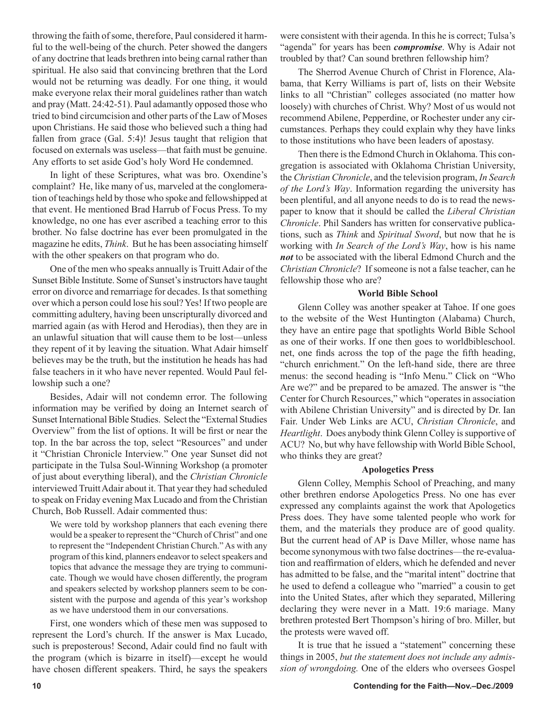throwing the faith of some, therefore, Paul considered it harmful to the well-being of the church. Peter showed the dangers of any doctrine that leads brethren into being carnal rather than spiritual. He also said that convincing brethren that the Lord would not be returning was deadly. For one thing, it would make everyone relax their moral guidelines rather than watch and pray (Matt. 24:42-51). Paul adamantly opposed those who tried to bind circumcision and other parts of the Law of Moses upon Christians. He said those who believed such a thing had fallen from grace (Gal. 5:4)! Jesus taught that religion that focused on externals was useless—that faith must be genuine. Any efforts to set aside God's holy Word He condemned.

In light of these Scriptures, what was bro. Oxendine's complaint? He, like many of us, marveled at the conglomeration of teachings held by those who spoke and fellowshipped at that event. He mentioned Brad Harrub of Focus Press. To my knowledge, no one has ever ascribed a teaching error to this brother. No false doctrine has ever been promulgated in the magazine he edits, *Think*. But he has been associating himself with the other speakers on that program who do.

One of the men who speaks annually is Truitt Adair of the Sunset Bible Institute. Some of Sunset's instructors have taught error on divorce and remarriage for decades. Is that something over which a person could lose his soul? Yes! If two people are committing adultery, having been unscripturally divorced and married again (as with Herod and Herodias), then they are in an unlawful situation that will cause them to be lost—unless they repent of it by leaving the situation. What Adair himself believes may be the truth, but the institution he heads has had false teachers in it who have never repented. Would Paul fellowship such a one?

Besides, Adair will not condemn error. The following information may be verified by doing an Internet search of Sunset International Bible Studies. Select the "External Studies Overview" from the list of options. It will be first or near the top. In the bar across the top, select "Resources" and under it "Christian Chronicle Interview." One year Sunset did not participate in the Tulsa Soul-Winning Workshop (a promoter of just about everything liberal), and the *Christian Chronicle* interviewed Truitt Adair about it. That year they had scheduled to speak on Friday evening Max Lucado and from the Christian Church, Bob Russell. Adair commented thus:

We were told by workshop planners that each evening there would be a speaker to represent the "Church of Christ" and one to represent the "Independent Christian Church." As with any program of this kind, planners endeavor to select speakers and topics that advance the message they are trying to communicate. Though we would have chosen differently, the program and speakers selected by workshop planners seem to be consistent with the purpose and agenda of this year's workshop as we have understood them in our conversations.

First, one wonders which of these men was supposed to represent the Lord's church. If the answer is Max Lucado, such is preposterous! Second, Adair could find no fault with the program (which is bizarre in itself)—except he would have chosen different speakers. Third, he says the speakers

were consistent with their agenda. In this he is correct; Tulsa's "agenda" for years has been *compromise*. Why is Adair not troubled by that? Can sound brethren fellowship him?

The Sherrod Avenue Church of Christ in Florence, Alabama, that Kerry Williams is part of, lists on their Website links to all "Christian" colleges associated (no matter how loosely) with churches of Christ. Why? Most of us would not recommend Abilene, Pepperdine, or Rochester under any circumstances. Perhaps they could explain why they have links to those institutions who have been leaders of apostasy.

Then there is the Edmond Church in Oklahoma. This congregation is associated with Oklahoma Christian University, the *Christian Chronicle*, and the television program, *In Search of the Lord's Way*. Information regarding the university has been plentiful, and all anyone needs to do is to read the newspaper to know that it should be called the *Liberal Christian Chronicle*. Phil Sanders has written for conservative publications, such as *Think* and *Spiritual Sword*, but now that he is working with *In Search of the Lord's Way*, how is his name *not* to be associated with the liberal Edmond Church and the *Christian Chronicle*? If someone is not a false teacher, can he fellowship those who are?

#### **World Bible School**

Glenn Colley was another speaker at Tahoe. If one goes to the website of the West Huntington (Alabama) Church, they have an entire page that spotlights World Bible School as one of their works. If one then goes to worldbibleschool. net, one finds across the top of the page the fifth heading, "church enrichment." On the left-hand side, there are three menus: the second heading is "Info Menu." Click on "Who Are we?" and be prepared to be amazed. The answer is "the Center for Church Resources," which "operates in association with Abilene Christian University" and is directed by Dr. Ian Fair. Under Web Links are ACU, *Christian Chronicle*, and *Heartlight*. Does anybody think Glenn Colley is supportive of ACU? No, but why have fellowship with World Bible School, who thinks they are great?

#### **Apologetics Press**

Glenn Colley, Memphis School of Preaching, and many other brethren endorse Apologetics Press. No one has ever expressed any complaints against the work that Apologetics Press does. They have some talented people who work for them, and the materials they produce are of good quality. But the current head of AP is Dave Miller, whose name has become synonymous with two false doctrines—the re-evaluation and reaffirmation of elders, which he defended and never has admitted to be false, and the "marital intent" doctrine that he used to defend a colleague who "married" a cousin to get into the United States, after which they separated, Millering declaring they were never in a Matt. 19:6 mariage. Many brethren protested Bert Thompson's hiring of bro. Miller, but the protests were waved off.

It is true that he issued a "statement" concerning these things in 2005, *but the statement does not include any admission of wrongdoing.* One of the elders who oversees Gospel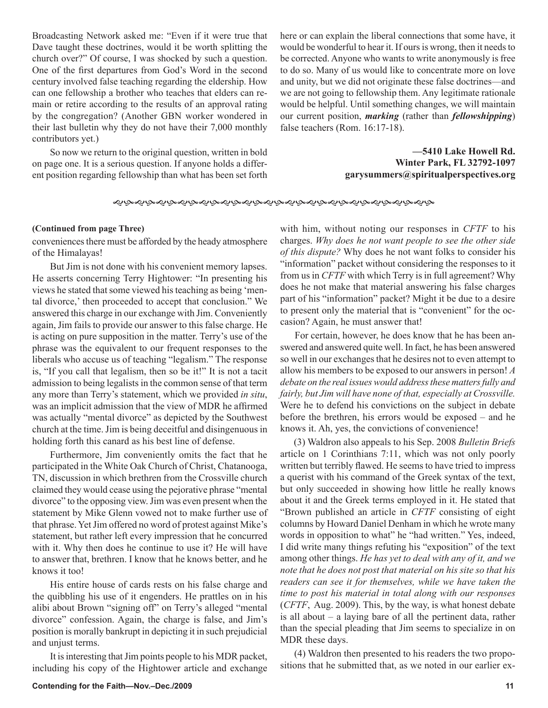Broadcasting Network asked me: "Even if it were true that Dave taught these doctrines, would it be worth splitting the church over?" Of course, I was shocked by such a question. One of the first departures from God's Word in the second century involved false teaching regarding the eldership. How can one fellowship a brother who teaches that elders can remain or retire according to the results of an approval rating by the congregation? (Another GBN worker wondered in their last bulletin why they do not have their 7,000 monthly contributors yet.)

So now we return to the original question, written in bold on page one. It is a serious question. If anyone holds a different position regarding fellowship than what has been set forth here or can explain the liberal connections that some have, it would be wonderful to hear it. If ours is wrong, then it needs to be corrected. Anyone who wants to write anonymously is free to do so. Many of us would like to concentrate more on love and unity, but we did not originate these false doctrines—and we are not going to fellowship them. Any legitimate rationale would be helpful. Until something changes, we will maintain our current position, *marking* (rather than *fellowshipping*) false teachers (Rom. 16:17-18).

> **—5410 Lake Howell Rd. Winter Park, FL 32792-1097 garysummers@spiritualperspectives.org**

#### **(Continued from page Three)**

conveniences there must be afforded by the heady atmosphere of the Himalayas!

But Jim is not done with his convenient memory lapses. He asserts concerning Terry Hightower: "In presenting his views he stated that some viewed his teaching as being 'mental divorce,' then proceeded to accept that conclusion." We answered this charge in our exchange with Jim. Conveniently again, Jim fails to provide our answer to this false charge. He is acting on pure supposition in the matter. Terry's use of the phrase was the equivalent to our frequent responses to the liberals who accuse us of teaching "legalism." The response is, "If you call that legalism, then so be it!" It is not a tacit admission to being legalists in the common sense of that term any more than Terry's statement, which we provided *in situ*, was an implicit admission that the view of MDR he affirmed was actually "mental divorce" as depicted by the Southwest church at the time. Jim is being deceitful and disingenuous in holding forth this canard as his best line of defense.

Furthermore, Jim conveniently omits the fact that he participated in the White Oak Church of Christ, Chatanooga, TN, discussion in which brethren from the Crossville church claimed they would cease using the pejorative phrase "mental divorce" to the opposing view. Jim was even present when the statement by Mike Glenn vowed not to make further use of that phrase. Yet Jim offered no word of protest against Mike's statement, but rather left every impression that he concurred with it. Why then does he continue to use it? He will have to answer that, brethren. I know that he knows better, and he knows it too!

His entire house of cards rests on his false charge and the quibbling his use of it engenders. He prattles on in his alibi about Brown "signing off" on Terry's alleged "mental divorce" confession. Again, the charge is false, and Jim's position is morally bankrupt in depicting it in such prejudicial and unjust terms.

It is interesting that Jim points people to his MDR packet, including his copy of the Hightower article and exchange with him, without noting our responses in *CFTF* to his charges. *Why does he not want people to see the other side of this dispute?* Why does he not want folks to consider his "information" packet without considering the responses to it from us in *CFTF* with which Terry is in full agreement? Why does he not make that material answering his false charges part of his "information" packet? Might it be due to a desire to present only the material that is "convenient" for the occasion? Again, he must answer that!

 For certain, however, he does know that he has been answered and answered quite well. In fact, he has been answered so well in our exchanges that he desires not to even attempt to allow his members to be exposed to our answers in person! *A debate on the real issues would address these matters fully and fairly, but Jim will have none of that, especially at Crossville.* Were he to defend his convictions on the subject in debate before the brethren, his errors would be exposed – and he knows it. Ah, yes, the convictions of convenience!

 (3) Waldron also appeals to his Sep. 2008 *Bulletin Briefs* article on 1 Corinthians 7:11, which was not only poorly written but terribly flawed. He seems to have tried to impress a querist with his command of the Greek syntax of the text, but only succeeded in showing how little he really knows about it and the Greek terms employed in it. He stated that "Brown published an article in *CFTF* consisting of eight columns by Howard Daniel Denham in which he wrote many words in opposition to what" he "had written." Yes, indeed, I did write many things refuting his "exposition" of the text among other things. *He has yet to deal with any of it, and we note that he does not post that material on his site so that his readers can see it for themselves, while we have taken the time to post his material in total along with our responses* (*CFTF*, Aug. 2009). This, by the way, is what honest debate is all about – a laying bare of all the pertinent data, rather than the special pleading that Jim seems to specialize in on MDR these days.

 (4) Waldron then presented to his readers the two propositions that he submitted that, as we noted in our earlier ex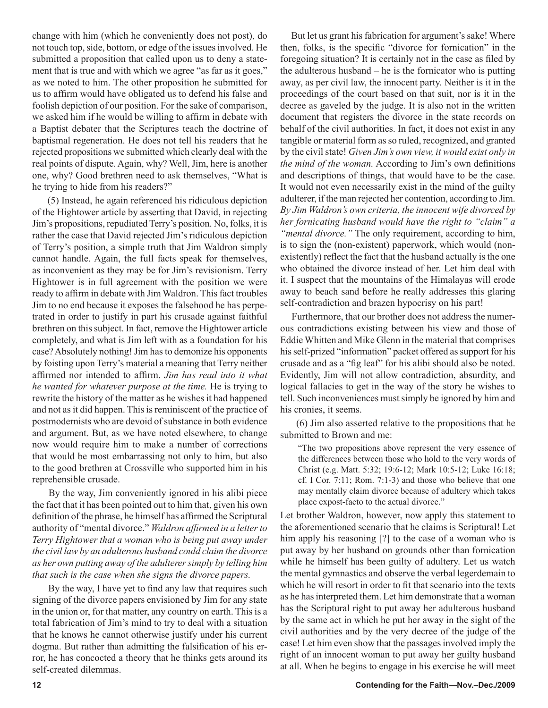change with him (which he conveniently does not post), do not touch top, side, bottom, or edge of the issues involved. He submitted a proposition that called upon us to deny a statement that is true and with which we agree "as far as it goes," as we noted to him. The other proposition he submitted for us to affirm would have obligated us to defend his false and foolish depiction of our position. For the sake of comparison, we asked him if he would be willing to affirm in debate with a Baptist debater that the Scriptures teach the doctrine of baptismal regeneration. He does not tell his readers that he rejected propositions we submitted which clearly deal with the real points of dispute. Again, why? Well, Jim, here is another one, why? Good brethren need to ask themselves, "What is he trying to hide from his readers?"

 (5) Instead, he again referenced his ridiculous depiction of the Hightower article by asserting that David, in rejecting Jim's propositions, repudiated Terry's position. No, folks, it is rather the case that David rejected Jim's ridiculous depiction of Terry's position, a simple truth that Jim Waldron simply cannot handle. Again, the full facts speak for themselves, as inconvenient as they may be for Jim's revisionism. Terry Hightower is in full agreement with the position we were ready to affirm in debate with Jim Waldron. This fact troubles Jim to no end because it exposes the falsehood he has perpetrated in order to justify in part his crusade against faithful brethren on this subject. In fact, remove the Hightower article completely, and what is Jim left with as a foundation for his case? Absolutely nothing! Jim has to demonize his opponents by foisting upon Terry's material a meaning that Terry neither affirmed nor intended to affirm. *Jim has read into it what he wanted for whatever purpose at the time.* He is trying to rewrite the history of the matter as he wishes it had happened and not as it did happen. This is reminiscent of the practice of postmodernists who are devoid of substance in both evidence and argument. But, as we have noted elsewhere, to change now would require him to make a number of corrections that would be most embarrassing not only to him, but also to the good brethren at Crossville who supported him in his reprehensible crusade.

 By the way, Jim conveniently ignored in his alibi piece the fact that it has been pointed out to him that, given his own definition of the phrase, he himself has affirmed the Scriptural authority of "mental divorce." *Waldron affirmed in a letter to Terry Hightower that a woman who is being put away under the civil law by an adulterous husband could claim the divorce as her own putting away of the adulterer simply by telling him that such is the case when she signs the divorce papers.*

 By the way, I have yet to find any law that requires such signing of the divorce papers envisioned by Jim for any state in the union or, for that matter, any country on earth. This is a total fabrication of Jim's mind to try to deal with a situation that he knows he cannot otherwise justify under his current dogma. But rather than admitting the falsification of his error, he has concocted a theory that he thinks gets around its self-created dilemmas.

 But let us grant his fabrication for argument's sake! Where then, folks, is the specific "divorce for fornication" in the foregoing situation? It is certainly not in the case as filed by the adulterous husband – he is the fornicator who is putting away, as per civil law, the innocent party. Neither is it in the proceedings of the court based on that suit, nor is it in the decree as gaveled by the judge. It is also not in the written document that registers the divorce in the state records on behalf of the civil authorities. In fact, it does not exist in any tangible or material form as so ruled, recognized, and granted by the civil state! *Given Jim's own view, it would exist only in the mind of the woman.* According to Jim's own definitions and descriptions of things, that would have to be the case. It would not even necessarily exist in the mind of the guilty adulterer, if the man rejected her contention, according to Jim. *By Jim Waldron's own criteria, the innocent wife divorced by her fornicating husband would have the right to "claim" a "mental divorce."* The only requirement, according to him, is to sign the (non-existent) paperwork, which would (nonexistently) reflect the fact that the husband actually is the one who obtained the divorce instead of her. Let him deal with it. I suspect that the mountains of the Himalayas will erode away to beach sand before he really addresses this glaring self-contradiction and brazen hypocrisy on his part!

 Furthermore, that our brother does not address the numerous contradictions existing between his view and those of Eddie Whitten and Mike Glenn in the material that comprises his self-prized "information" packet offered as support for his crusade and as a "fig leaf" for his alibi should also be noted. Evidently, Jim will not allow contradiction, absurdity, and logical fallacies to get in the way of the story he wishes to tell. Such inconveniences must simply be ignored by him and his cronies, it seems.

 (6) Jim also asserted relative to the propositions that he submitted to Brown and me:

"The two propositions above represent the very essence of the differences between those who hold to the very words of Christ (e.g. Matt. 5:32; 19:6-12; Mark 10:5-12; Luke 16:18; cf. I Cor. 7:11; Rom. 7:1-3) and those who believe that one may mentally claim divorce because of adultery which takes place expost-facto to the actual divorce."

Let brother Waldron, however, now apply this statement to the aforementioned scenario that he claims is Scriptural! Let him apply his reasoning [?] to the case of a woman who is put away by her husband on grounds other than fornication while he himself has been guilty of adultery. Let us watch the mental gymnastics and observe the verbal legerdemain to which he will resort in order to fit that scenario into the texts as he has interpreted them. Let him demonstrate that a woman has the Scriptural right to put away her adulterous husband by the same act in which he put her away in the sight of the civil authorities and by the very decree of the judge of the case! Let him even show that the passages involved imply the right of an innocent woman to put away her guilty husband at all. When he begins to engage in his exercise he will meet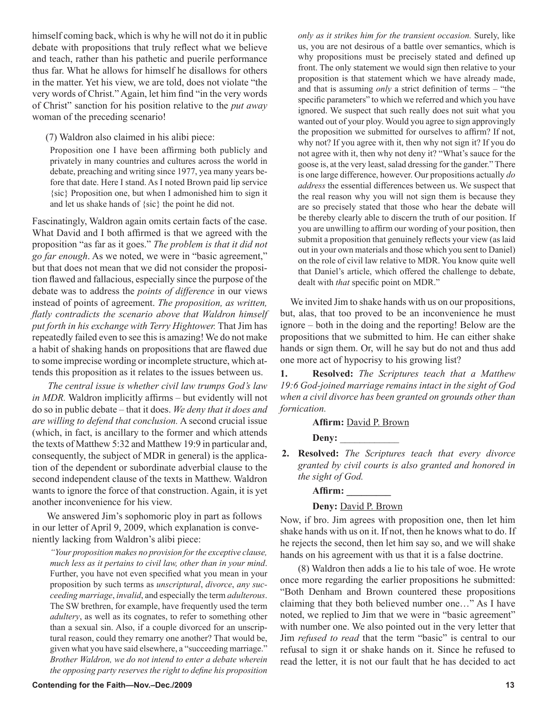himself coming back, which is why he will not do it in public debate with propositions that truly reflect what we believe and teach, rather than his pathetic and puerile performance thus far. What he allows for himself he disallows for others in the matter. Yet his view, we are told, does not violate "the very words of Christ." Again, let him find "in the very words of Christ" sanction for his position relative to the *put away* woman of the preceding scenario!

(7) Waldron also claimed in his alibi piece:

Proposition one I have been affirming both publicly and privately in many countries and cultures across the world in debate, preaching and writing since 1977, yea many years before that date. Here I stand. As I noted Brown paid lip service {sic} Proposition one, but when I admonished him to sign it and let us shake hands of {sic} the point he did not.

Fascinatingly, Waldron again omits certain facts of the case. What David and I both affirmed is that we agreed with the proposition "as far as it goes." *The problem is that it did not go far enough*. As we noted, we were in "basic agreement," but that does not mean that we did not consider the proposition flawed and fallacious, especially since the purpose of the debate was to address the *points of difference* in our views instead of points of agreement. *The proposition, as written, flatly contradicts the scenario above that Waldron himself put forth in his exchange with Terry Hightower.* That Jim has repeatedly failed even to see this is amazing! We do not make a habit of shaking hands on propositions that are flawed due to some imprecise wording or incomplete structure, which attends this proposition as it relates to the issues between us.

 *The central issue is whether civil law trumps God's law in MDR.* Waldron implicitly affirms – but evidently will not do so in public debate – that it does. *We deny that it does and are willing to defend that conclusion.* A second crucial issue (which, in fact, is ancillary to the former and which attends the texts of Matthew 5:32 and Matthew 19:9 in particular and, consequently, the subject of MDR in general) is the application of the dependent or subordinate adverbial clause to the second independent clause of the texts in Matthew. Waldron wants to ignore the force of that construction. Again, it is yet another inconvenience for his view.

 We answered Jim's sophomoric ploy in part as follows in our letter of April 9, 2009, which explanation is conveniently lacking from Waldron's alibi piece:

*much less as it pertains to civil law, other than in your mind*. Further, you have not even specified what you mean in your proposition by such terms as *unscriptural*, *divorce*, *any succeeding marriage*, *invalid*, and especially the term *adulterous*. The SW brethren, for example, have frequently used the term *adultery*, as well as its cognates, to refer to something other than a sexual sin. Also, if a couple divorced for an unscriptural reason, could they remarry one another? That would be, given what you have said elsewhere, a "succeeding marriage." *Brother Waldron, we do not intend to enter a debate wherein the opposing party reserves the right to define his proposition* 

*"Your proposition makes no provision for the exceptive clause,* 

*only as it strikes him for the transient occasion.* Surely, like us, you are not desirous of a battle over semantics, which is why propositions must be precisely stated and defined up front. The only statement we would sign then relative to your proposition is that statement which we have already made, and that is assuming *only* a strict definition of terms – "the specific parameters" to which we referred and which you have ignored. We suspect that such really does not suit what you wanted out of your ploy. Would you agree to sign approvingly the proposition we submitted for ourselves to affirm? If not, why not? If you agree with it, then why not sign it? If you do not agree with it, then why not deny it? "What's sauce for the goose is, at the very least, salad dressing for the gander." There is one large difference, however. Our propositions actually *do address* the essential differences between us. We suspect that the real reason why you will not sign them is because they are so precisely stated that those who hear the debate will be thereby clearly able to discern the truth of our position. If you are unwilling to affirm our wording of your position, then submit a proposition that genuinely reflects your view (as laid out in your own materials and those which you sent to Daniel) on the role of civil law relative to MDR. You know quite well that Daniel's article, which offered the challenge to debate, dealt with *that* specific point on MDR."

 We invited Jim to shake hands with us on our propositions, but, alas, that too proved to be an inconvenience he must ignore – both in the doing and the reporting! Below are the propositions that we submitted to him. He can either shake hands or sign them. Or, will he say but do not and thus add one more act of hypocrisy to his growing list?

**1. Resolved:** *The Scriptures teach that a Matthew 19:6 God-joined marriage remains intact in the sight of God when a civil divorce has been granted on grounds other than fornication.*

**Affirm:** David P. Brown

Deny:

**2. Resolved:** *The Scriptures teach that every divorce granted by civil courts is also granted and honored in the sight of God.*

**Affirm: \_\_\_\_\_\_\_\_\_**

# **Deny:** David P. Brown

Now, if bro. Jim agrees with proposition one, then let him shake hands with us on it. If not, then he knows what to do. If he rejects the second, then let him say so, and we will shake hands on his agreement with us that it is a false doctrine.

(8) Waldron then adds a lie to his tale of woe. He wrote once more regarding the earlier propositions he submitted: "Both Denham and Brown countered these propositions claiming that they both believed number one…" As I have noted, we replied to Jim that we were in "basic agreement" with number one. We also pointed out in the very letter that Jim *refused to read* that the term "basic" is central to our refusal to sign it or shake hands on it. Since he refused to read the letter, it is not our fault that he has decided to act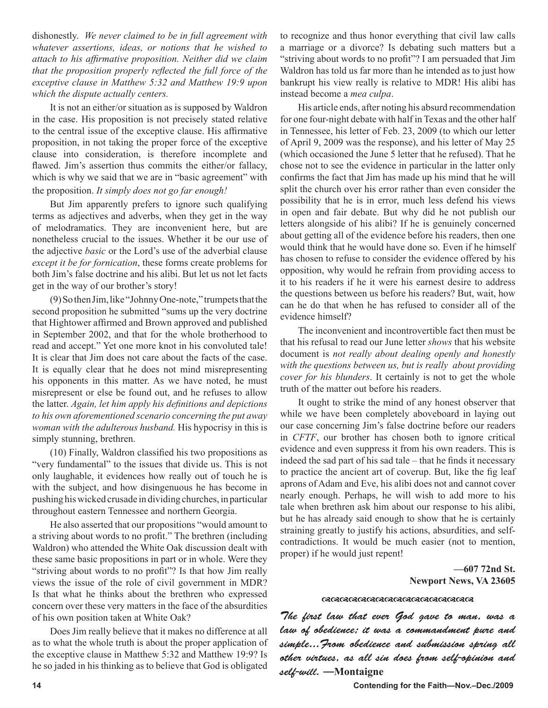dishonestly. *We never claimed to be in full agreement with whatever assertions, ideas, or notions that he wished to attach to his affirmative proposition. Neither did we claim that the proposition properly reflected the full force of the exceptive clause in Matthew 5:32 and Matthew 19:9 upon which the dispute actually centers.*

It is not an either/or situation as is supposed by Waldron in the case. His proposition is not precisely stated relative to the central issue of the exceptive clause. His affirmative proposition, in not taking the proper force of the exceptive clause into consideration, is therefore incomplete and flawed. Jim's assertion thus commits the either/or fallacy, which is why we said that we are in "basic agreement" with the proposition. *It simply does not go far enough!*

But Jim apparently prefers to ignore such qualifying terms as adjectives and adverbs, when they get in the way of melodramatics. They are inconvenient here, but are nonetheless crucial to the issues. Whether it be our use of the adjective *basic* or the Lord's use of the adverbial clause *except it be for fornication*, these forms create problems for both Jim's false doctrine and his alibi. But let us not let facts get in the way of our brother's story!

(9) So then Jim, like "Johnny One-note," trumpets that the second proposition he submitted "sums up the very doctrine that Hightower affirmed and Brown approved and published in September 2002, and that for the whole brotherhood to read and accept." Yet one more knot in his convoluted tale! It is clear that Jim does not care about the facts of the case. It is equally clear that he does not mind misrepresenting his opponents in this matter. As we have noted, he must misrepresent or else be found out, and he refuses to allow the latter. *Again, let him apply his definitions and depictions to his own aforementioned scenario concerning the put away woman with the adulterous husband.* His hypocrisy in this is simply stunning, brethren.

(10) Finally, Waldron classified his two propositions as "very fundamental" to the issues that divide us. This is not only laughable, it evidences how really out of touch he is with the subject, and how disingenuous he has become in pushing his wicked crusade in dividing churches, in particular throughout eastern Tennessee and northern Georgia.

He also asserted that our propositions "would amount to a striving about words to no profit." The brethren (including Waldron) who attended the White Oak discussion dealt with these same basic propositions in part or in whole. Were they "striving about words to no profit"? Is that how Jim really views the issue of the role of civil government in MDR? Is that what he thinks about the brethren who expressed concern over these very matters in the face of the absurdities of his own position taken at White Oak?

Does Jim really believe that it makes no difference at all as to what the whole truth is about the proper application of the exceptive clause in Matthew 5:32 and Matthew 19:9? Is he so jaded in his thinking as to believe that God is obligated to recognize and thus honor everything that civil law calls a marriage or a divorce? Is debating such matters but a "striving about words to no profit"? I am persuaded that Jim Waldron has told us far more than he intended as to just how bankrupt his view really is relative to MDR! His alibi has instead become a *mea culpa*.

His article ends, after noting his absurd recommendation for one four-night debate with half in Texas and the other half in Tennessee, his letter of Feb. 23, 2009 (to which our letter of April 9, 2009 was the response), and his letter of May 25 (which occasioned the June 5 letter that he refused). That he chose not to see the evidence in particular in the latter only confirms the fact that Jim has made up his mind that he will split the church over his error rather than even consider the possibility that he is in error, much less defend his views in open and fair debate. But why did he not publish our letters alongside of his alibi? If he is genuinely concerned about getting all of the evidence before his readers, then one would think that he would have done so. Even if he himself has chosen to refuse to consider the evidence offered by his opposition, why would he refrain from providing access to it to his readers if he it were his earnest desire to address the questions between us before his readers? But, wait, how can he do that when he has refused to consider all of the evidence himself?

The inconvenient and incontrovertible fact then must be that his refusal to read our June letter *shows* that his website document is *not really about dealing openly and honestly with the questions between us, but is really about providing cover for his blunders*. It certainly is not to get the whole truth of the matter out before his readers.

It ought to strike the mind of any honest observer that while we have been completely aboveboard in laying out our case concerning Jim's false doctrine before our readers in *CFTF*, our brother has chosen both to ignore critical evidence and even suppress it from his own readers. This is indeed the sad part of his sad tale – that he finds it necessary to practice the ancient art of coverup. But, like the fig leaf aprons of Adam and Eve, his alibi does not and cannot cover nearly enough. Perhaps, he will wish to add more to his tale when brethren ask him about our response to his alibi, but he has already said enough to show that he is certainly straining greatly to justify his actions, absurdities, and selfcontradictions. It would be much easier (not to mention, proper) if he would just repent!

> **—607 72nd St. Newport News, VA 23605**

#### 

The first law that ever God gave to man, was a law of obedience; it was a commandment pure and simple...From obedience and submission spring all other virtues, as all sin does from self-opinion and self-will. —**Montaigne**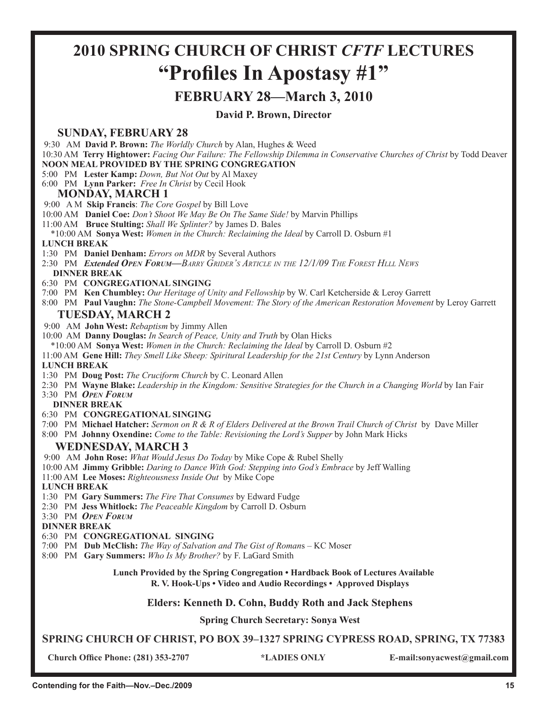# **2010 SPRING CHURCH OF CHRIST** *CFTF* **LECTURES "Profiles In Apostasy #1"**

# **FEBRUARY 28—March 3, 2010**

**David P. Brown, Director**

# **SUNDAY, FEBRUARY 28**

9:30 AM **David P. Brown:** *The Worldly Church* by Alan, Hughes & Weed

 10:30 AM **Terry Hightower:** *Facing Our Failure: The Fellowship Dilemma in Conservative Churches of Christ* by Todd Deaver **NOON MEAL PROVIDED BY THE SPRING CONGREGATION**

## 5:00 PM **Lester Kamp:** *Down, But Not Out* by Al Maxey

6:00 PM **Lynn Parker:** *Free In Christ* by Cecil Hook

# **MONDAY, MARCH 1**

9:00 A M **Skip Francis**: *The Core Gospel* by Bill Love

10:00 AM **Daniel Coe:** *Don't Shoot We May Be On The Same Side!* by Marvin Phillips

11:00 AM **Bruce Stulting:** *Shall We Splinter?* by James D. Bales

\*10:00 AM **Sonya West:** *Women in the Church: Reclaiming the Ideal* by Carroll D. Osburn #1

## **LUNCH BREAK**

1:30 PM **Daniel Denham:** *Errors on MDR* by Several Authors

 2:30 PM *Extended OPEN FORUM—BARRY GRIDER'S ARTICLE IN THE 12/1/09 THE FOREST HLLL NEWS* **DINNER BREAK**

6:30 PM **CONGREGATIONAL SINGING**

7:00 PM **Ken Chumbley:** *Our Heritage of Unity and Fellowship* by W. Carl Ketcherside & Leroy Garrett

8:00 PM **Paul Vaughn:** *The Stone-Campbell Movement: The Story of the American Restoration Movement* by Leroy Garrett

# **TUESDAY, MARCH 2**

9:00 AM **John West:** *Rebaptism* by Jimmy Allen

10:00 AM **Danny Douglas:** *In Search of Peace, Unity and Truth* by Olan Hicks

\*10:00 AM **Sonya West:** *Women in the Church: Reclaiming the Ideal* by Carroll D. Osburn #2

11:00 AM **Gene Hill:** *They Smell Like Sheep: Spiritural Leadership for the 21st Century* by Lynn Anderson

### **LUNCH BREAK**

1:30 PM **Doug Post:** *The Cruciform Church* by C. Leonard Allen

2:30 PM **Wayne Blake:** *Leadership in the Kingdom: Sensitive Strategies for the Church in a Changing World* by Ian Fair

3:30 PM *OPEN FORUM*

 **DINNER BREAK**

- 6:30 PM **CONGREGATIONAL SINGING**
- 7:00 PM **Michael Hatcher:** *Sermon on R & R of Elders Delivered at the Brown Trail Church of Christ* by Dave Miller

8:00 PM **Johnny Oxendine:** *Come to the Table: Revisioning the Lord's Supper* by John Mark Hicks

# **WEDNESDAY, MARCH 3**

9:00 AM **John Rose:** *What Would Jesus Do Today* by Mike Cope & Rubel Shelly

10:00 AM **Jimmy Gribble:** *Daring to Dance With God: Stepping into God's Embrace* by Jeff Walling

11:00 AM **Lee Moses:** *Righteousness Inside Out* by Mike Cope

 **LUNCH BREAK**

- 1:30 PM **Gary Summers:** *The Fire That Consumes* by Edward Fudge
- 2:30 PM **Jess Whitlock:** *The Peaceable Kingdom* by Carroll D. Osburn

3:30 PM *OPEN FORUM*

**DINNER BREAK**

### 6:30 PM **CONGREGATIONAL SINGING**

7:00 PM **Dub McClish:** *The Way of Salvation and The Gist of Roman*s – KC Moser

8:00 PM **Gary Summers:** *Who Is My Brother?* by F. LaGard Smith

**Lunch Provided by the Spring Congregation • Hardback Book of Lectures Available R. V. Hook-Ups • Video and Audio Recordings • Approved Displays**

# **Elders: Kenneth D. Cohn, Buddy Roth and Jack Stephens**

# **Spring Church Secretary: Sonya West**

**SPRING CHURCH OF CHRIST, PO BOX 39–1327 SPRING CYPRESS ROAD, SPRING, TX 77383**

**Church Office Phone: (281) 353-2707 \*LADIES ONLY E-mail:sonyacwest@gmail.com**